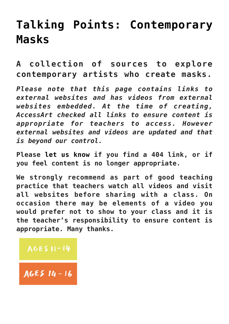# **[Talking Points: Contemporary](https://www.accessart.org.uk/talking-points-contemporary-masks/) [Masks](https://www.accessart.org.uk/talking-points-contemporary-masks/)**

**A collection of sources to explore contemporary artists who create masks.**

*Please note that this page contains links to external websites and has videos from external websites embedded. At the time of creating, AccessArt checked all links to ensure content is appropriate for teachers to access. However external websites and videos are updated and that is beyond our control.* 

**Please [let us know](mailto:info@accessart.org.uk) if you find a 404 link, or if you feel content is no longer appropriate.** 

**We strongly recommend as part of good teaching practice that teachers watch all videos and visit all websites before sharing with a class. On occasion there may be elements of a video you would prefer not to show to your class and it is the teacher's responsibility to ensure content is appropriate. Many thanks.** 

## AGES 11-14

AGES  $14 - 16$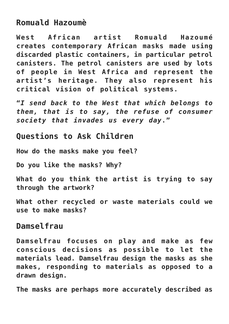## **Romuald Hazoumè**

**West African artist Romuald Hazoumé creates contemporary African masks made using discarded plastic containers, in particular petrol canisters. The petrol canisters are used by lots of people in West Africa and represent the artist's heritage. They also represent his critical vision of political systems.**

**"***I send back to the West that which belongs to them, that is to say, the refuse of consumer society that invades us every day***."**

#### **Questions to Ask Children**

**How do the masks make you feel?**

**Do you like the masks? Why?**

**What do you think the artist is trying to say through the artwork?**

**What other recycled or waste materials could we use to make masks?** 

#### **Damselfrau**

**Damselfrau focuses on play and make as few conscious decisions as possible to let the materials lead. Damselfrau design the masks as she makes, responding to materials as opposed to a drawn design.**

**The masks are perhaps more accurately described as**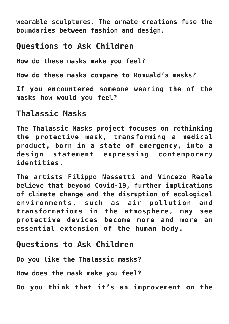**wearable sculptures. The ornate creations fuse the boundaries between fashion and design.**

## **Questions to Ask Children**

**How do these masks make you feel?**

**How do these masks compare to Romuald's masks?**

**If you encountered someone wearing the of the masks how would you feel?**

### **Thalassic Masks**

**The Thalassic Masks project focuses on rethinking the protective mask, transforming a medical product, born in a state of emergency, into a design statement expressing contemporary identities.**

**The artists Filippo Nassetti and Vincezo Reale believe that beyond Covid-19, further implications of climate change and the disruption of ecological environments, such as air pollution and transformations in the atmosphere, may see protective devices become more and more an essential extension of the human body.**

## **Questions to Ask Children**

**Do you like the Thalassic masks?**

**How does the mask make you feel?**

**Do you think that it's an improvement on the**